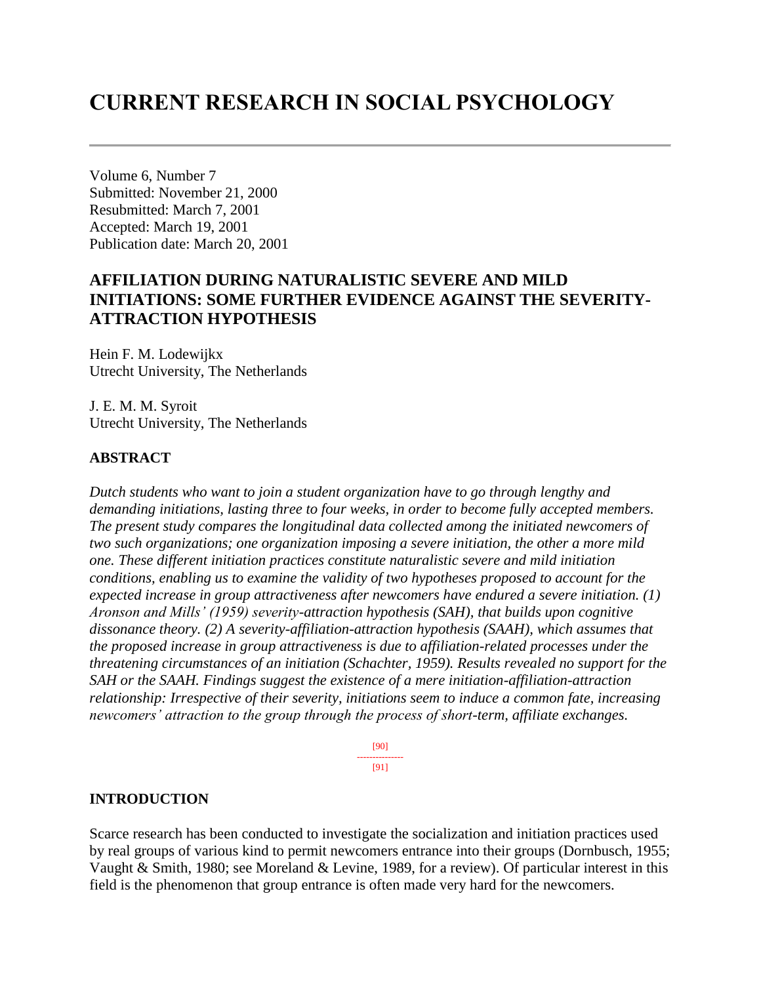# **CURRENT RESEARCH IN SOCIAL PSYCHOLOGY**

Volume 6, Number 7 Submitted: November 21, 2000 Resubmitted: March 7, 2001 Accepted: March 19, 2001 Publication date: March 20, 2001

# **AFFILIATION DURING NATURALISTIC SEVERE AND MILD INITIATIONS: SOME FURTHER EVIDENCE AGAINST THE SEVERITY-ATTRACTION HYPOTHESIS**

Hein F. M. Lodewijkx Utrecht University, The Netherlands

J. E. M. M. Syroit Utrecht University, The Netherlands

## **ABSTRACT**

*Dutch students who want to join a student organization have to go through lengthy and demanding initiations, lasting three to four weeks, in order to become fully accepted members. The present study compares the longitudinal data collected among the initiated newcomers of two such organizations; one organization imposing a severe initiation, the other a more mild one. These different initiation practices constitute naturalistic severe and mild initiation conditions, enabling us to examine the validity of two hypotheses proposed to account for the expected increase in group attractiveness after newcomers have endured a severe initiation. (1) Aronson and Mills' (1959) severity-attraction hypothesis (SAH), that builds upon cognitive dissonance theory. (2) A severity-affiliation-attraction hypothesis (SAAH), which assumes that the proposed increase in group attractiveness is due to affiliation-related processes under the threatening circumstances of an initiation (Schachter, 1959). Results revealed no support for the SAH or the SAAH. Findings suggest the existence of a mere initiation-affiliation-attraction relationship: Irrespective of their severity, initiations seem to induce a common fate, increasing newcomers' attraction to the group through the process of short-term, affiliate exchanges.*

> [90] --------------- [91]

#### **INTRODUCTION**

Scarce research has been conducted to investigate the socialization and initiation practices used by real groups of various kind to permit newcomers entrance into their groups (Dornbusch, 1955; Vaught & Smith, 1980; see Moreland & Levine, 1989, for a review). Of particular interest in this field is the phenomenon that group entrance is often made very hard for the newcomers.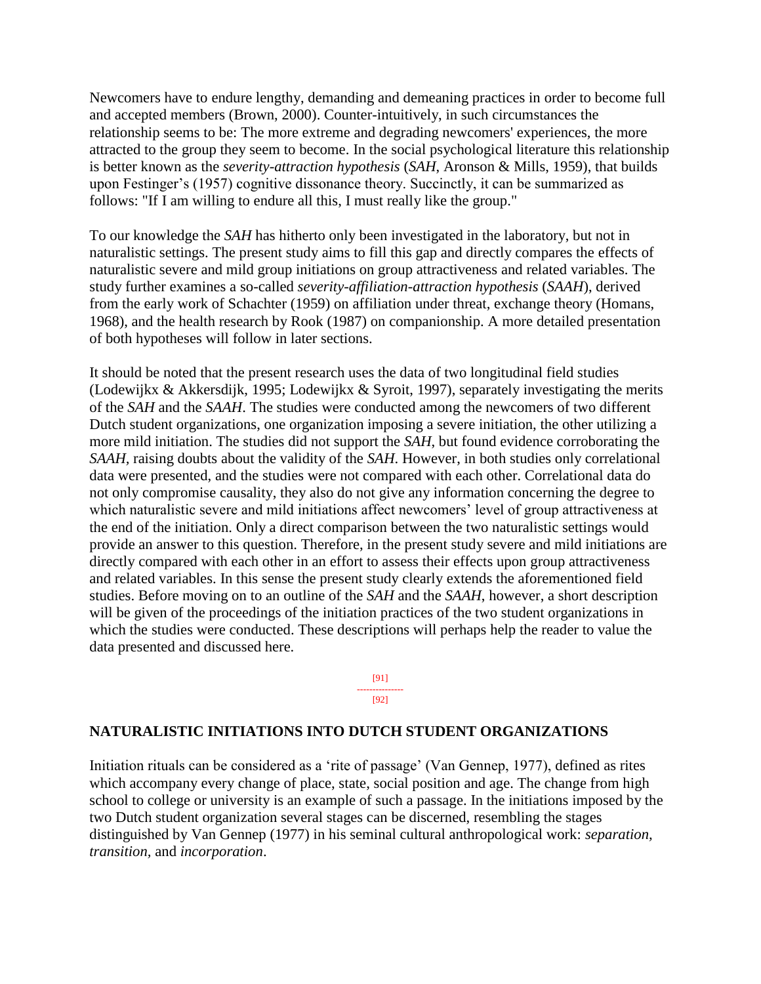Newcomers have to endure lengthy, demanding and demeaning practices in order to become full and accepted members (Brown, 2000). Counter-intuitively, in such circumstances the relationship seems to be: The more extreme and degrading newcomers' experiences, the more attracted to the group they seem to become. In the social psychological literature this relationship is better known as the *severity-attraction hypothesis* (*SAH*, Aronson & Mills, 1959), that builds upon Festinger's (1957) cognitive dissonance theory. Succinctly, it can be summarized as follows: "If I am willing to endure all this, I must really like the group."

To our knowledge the *SAH* has hitherto only been investigated in the laboratory, but not in naturalistic settings. The present study aims to fill this gap and directly compares the effects of naturalistic severe and mild group initiations on group attractiveness and related variables. The study further examines a so-called *severity-affiliation-attraction hypothesis* (*SAAH*), derived from the early work of Schachter (1959) on affiliation under threat, exchange theory (Homans, 1968), and the health research by Rook (1987) on companionship. A more detailed presentation of both hypotheses will follow in later sections.

It should be noted that the present research uses the data of two longitudinal field studies (Lodewijkx & Akkersdijk, 1995; Lodewijkx & Syroit, 1997), separately investigating the merits of the *SAH* and the *SAAH*. The studies were conducted among the newcomers of two different Dutch student organizations, one organization imposing a severe initiation, the other utilizing a more mild initiation. The studies did not support the *SAH*, but found evidence corroborating the *SAAH,* raising doubts about the validity of the *SAH*. However, in both studies only correlational data were presented, and the studies were not compared with each other. Correlational data do not only compromise causality, they also do not give any information concerning the degree to which naturalistic severe and mild initiations affect newcomers' level of group attractiveness at the end of the initiation. Only a direct comparison between the two naturalistic settings would provide an answer to this question. Therefore, in the present study severe and mild initiations are directly compared with each other in an effort to assess their effects upon group attractiveness and related variables. In this sense the present study clearly extends the aforementioned field studies. Before moving on to an outline of the *SAH* and the *SAAH*, however, a short description will be given of the proceedings of the initiation practices of the two student organizations in which the studies were conducted. These descriptions will perhaps help the reader to value the data presented and discussed here.

> [91] --------------- [92]

## **NATURALISTIC INITIATIONS INTO DUTCH STUDENT ORGANIZATIONS**

Initiation rituals can be considered as a 'rite of passage' (Van Gennep, 1977), defined as rites which accompany every change of place, state, social position and age. The change from high school to college or university is an example of such a passage. In the initiations imposed by the two Dutch student organization several stages can be discerned, resembling the stages distinguished by Van Gennep (1977) in his seminal cultural anthropological work: *separation, transition,* and *incorporation*.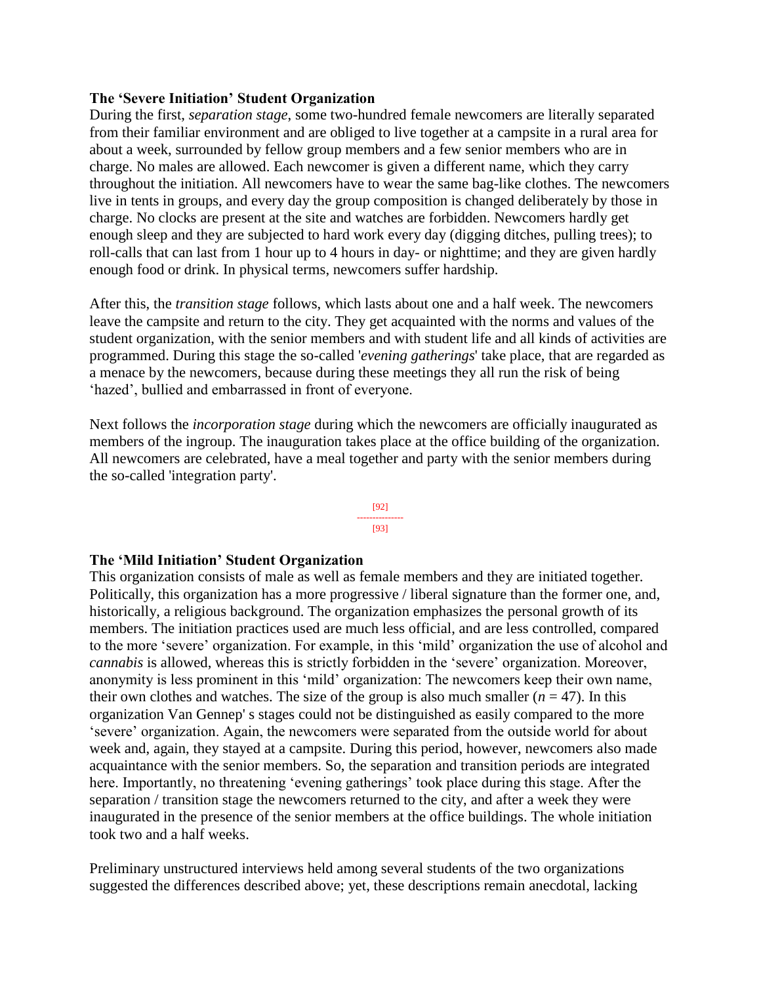## **The 'Severe Initiation' Student Organization**

During the first, *separation stage*, some two-hundred female newcomers are literally separated from their familiar environment and are obliged to live together at a campsite in a rural area for about a week, surrounded by fellow group members and a few senior members who are in charge. No males are allowed. Each newcomer is given a different name, which they carry throughout the initiation. All newcomers have to wear the same bag-like clothes. The newcomers live in tents in groups, and every day the group composition is changed deliberately by those in charge. No clocks are present at the site and watches are forbidden. Newcomers hardly get enough sleep and they are subjected to hard work every day (digging ditches, pulling trees); to roll-calls that can last from 1 hour up to 4 hours in day- or nighttime; and they are given hardly enough food or drink. In physical terms, newcomers suffer hardship.

After this, the *transition stage* follows, which lasts about one and a half week. The newcomers leave the campsite and return to the city. They get acquainted with the norms and values of the student organization, with the senior members and with student life and all kinds of activities are programmed. During this stage the so-called '*evening gatherings*' take place, that are regarded as a menace by the newcomers, because during these meetings they all run the risk of being 'hazed', bullied and embarrassed in front of everyone.

Next follows the *incorporation stage* during which the newcomers are officially inaugurated as members of the ingroup. The inauguration takes place at the office building of the organization. All newcomers are celebrated, have a meal together and party with the senior members during the so-called 'integration party'.



# **The 'Mild Initiation' Student Organization**

This organization consists of male as well as female members and they are initiated together. Politically, this organization has a more progressive / liberal signature than the former one, and, historically, a religious background. The organization emphasizes the personal growth of its members. The initiation practices used are much less official, and are less controlled, compared to the more 'severe' organization. For example, in this 'mild' organization the use of alcohol and *cannabis* is allowed, whereas this is strictly forbidden in the 'severe' organization. Moreover, anonymity is less prominent in this 'mild' organization: The newcomers keep their own name, their own clothes and watches. The size of the group is also much smaller  $(n = 47)$ . In this organization Van Gennep' s stages could not be distinguished as easily compared to the more 'severe' organization. Again, the newcomers were separated from the outside world for about week and, again, they stayed at a campsite. During this period, however, newcomers also made acquaintance with the senior members. So, the separation and transition periods are integrated here. Importantly, no threatening 'evening gatherings' took place during this stage. After the separation / transition stage the newcomers returned to the city, and after a week they were inaugurated in the presence of the senior members at the office buildings. The whole initiation took two and a half weeks.

Preliminary unstructured interviews held among several students of the two organizations suggested the differences described above; yet, these descriptions remain anecdotal, lacking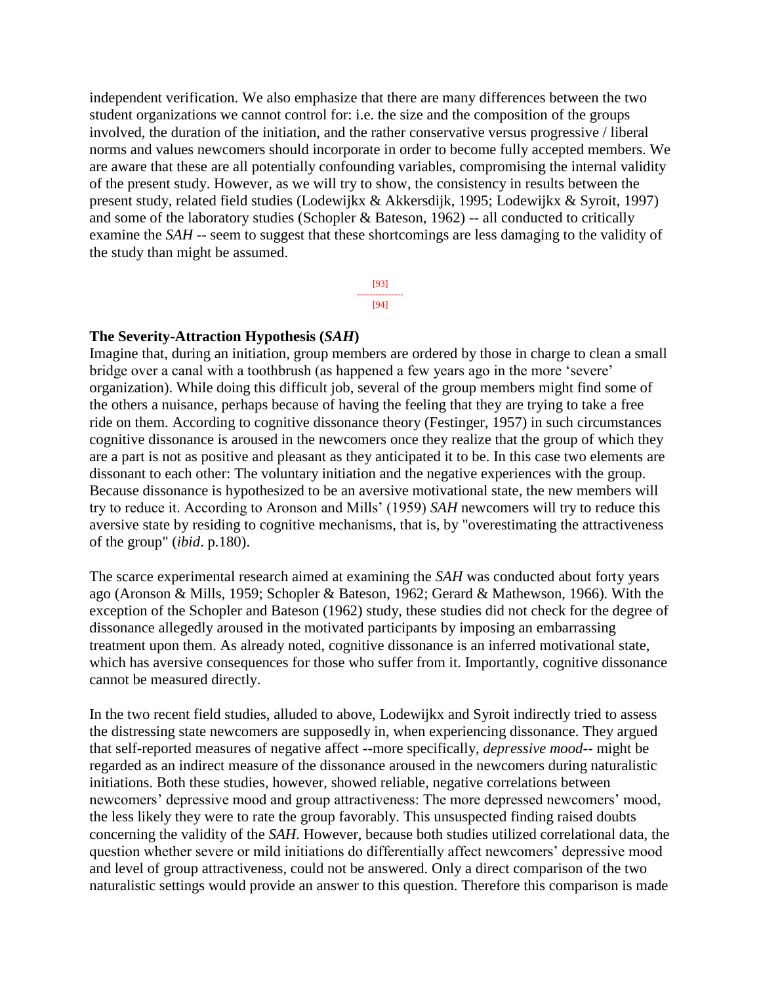independent verification. We also emphasize that there are many differences between the two student organizations we cannot control for: i.e. the size and the composition of the groups involved, the duration of the initiation, and the rather conservative versus progressive / liberal norms and values newcomers should incorporate in order to become fully accepted members. We are aware that these are all potentially confounding variables, compromising the internal validity of the present study. However, as we will try to show, the consistency in results between the present study, related field studies (Lodewijkx & Akkersdijk, 1995; Lodewijkx & Syroit, 1997) and some of the laboratory studies (Schopler & Bateson, 1962) -- all conducted to critically examine the *SAH* -- seem to suggest that these shortcomings are less damaging to the validity of the study than might be assumed.

> [93] --------------- [94]

#### **The Severity-Attraction Hypothesis (***SAH***)**

Imagine that, during an initiation, group members are ordered by those in charge to clean a small bridge over a canal with a toothbrush (as happened a few years ago in the more 'severe' organization). While doing this difficult job, several of the group members might find some of the others a nuisance, perhaps because of having the feeling that they are trying to take a free ride on them. According to cognitive dissonance theory (Festinger, 1957) in such circumstances cognitive dissonance is aroused in the newcomers once they realize that the group of which they are a part is not as positive and pleasant as they anticipated it to be. In this case two elements are dissonant to each other: The voluntary initiation and the negative experiences with the group. Because dissonance is hypothesized to be an aversive motivational state, the new members will try to reduce it. According to Aronson and Mills' (1959) *SAH* newcomers will try to reduce this aversive state by residing to cognitive mechanisms, that is, by "overestimating the attractiveness of the group" (*ibid*. p.180).

The scarce experimental research aimed at examining the *SAH* was conducted about forty years ago (Aronson & Mills, 1959; Schopler & Bateson, 1962; Gerard & Mathewson, 1966). With the exception of the Schopler and Bateson (1962) study, these studies did not check for the degree of dissonance allegedly aroused in the motivated participants by imposing an embarrassing treatment upon them. As already noted, cognitive dissonance is an inferred motivational state, which has aversive consequences for those who suffer from it. Importantly, cognitive dissonance cannot be measured directly.

In the two recent field studies, alluded to above, Lodewijkx and Syroit indirectly tried to assess the distressing state newcomers are supposedly in, when experiencing dissonance. They argued that self-reported measures of negative affect --more specifically, *depressive mood*-- might be regarded as an indirect measure of the dissonance aroused in the newcomers during naturalistic initiations. Both these studies, however, showed reliable, negative correlations between newcomers' depressive mood and group attractiveness: The more depressed newcomers' mood, the less likely they were to rate the group favorably. This unsuspected finding raised doubts concerning the validity of the *SAH*. However, because both studies utilized correlational data, the question whether severe or mild initiations do differentially affect newcomers' depressive mood and level of group attractiveness, could not be answered. Only a direct comparison of the two naturalistic settings would provide an answer to this question. Therefore this comparison is made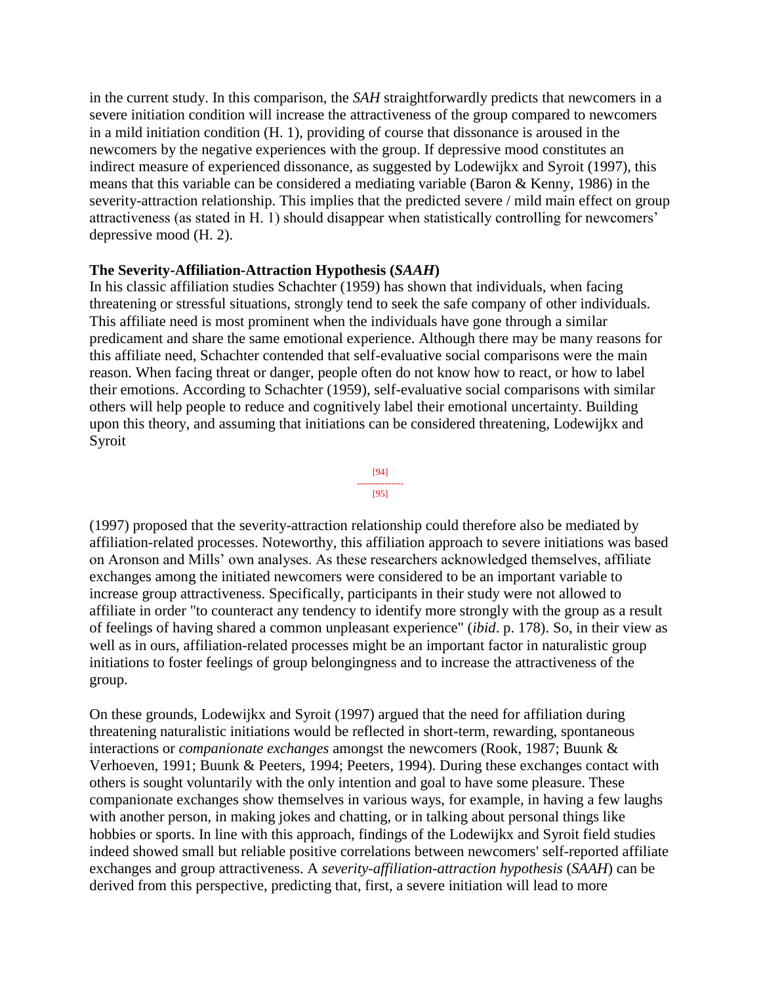in the current study. In this comparison, the *SAH* straightforwardly predicts that newcomers in a severe initiation condition will increase the attractiveness of the group compared to newcomers in a mild initiation condition (H. 1), providing of course that dissonance is aroused in the newcomers by the negative experiences with the group. If depressive mood constitutes an indirect measure of experienced dissonance, as suggested by Lodewijkx and Syroit (1997), this means that this variable can be considered a mediating variable (Baron & Kenny, 1986) in the severity-attraction relationship. This implies that the predicted severe / mild main effect on group attractiveness (as stated in H. 1) should disappear when statistically controlling for newcomers' depressive mood (H. 2).

# **The Severity-Affiliation-Attraction Hypothesis (***SAAH***)**

In his classic affiliation studies Schachter (1959) has shown that individuals, when facing threatening or stressful situations, strongly tend to seek the safe company of other individuals. This affiliate need is most prominent when the individuals have gone through a similar predicament and share the same emotional experience. Although there may be many reasons for this affiliate need, Schachter contended that self-evaluative social comparisons were the main reason. When facing threat or danger, people often do not know how to react, or how to label their emotions. According to Schachter (1959), self-evaluative social comparisons with similar others will help people to reduce and cognitively label their emotional uncertainty. Building upon this theory, and assuming that initiations can be considered threatening, Lodewijkx and Syroit



(1997) proposed that the severity-attraction relationship could therefore also be mediated by affiliation-related processes. Noteworthy, this affiliation approach to severe initiations was based on Aronson and Mills' own analyses. As these researchers acknowledged themselves, affiliate exchanges among the initiated newcomers were considered to be an important variable to increase group attractiveness. Specifically, participants in their study were not allowed to affiliate in order "to counteract any tendency to identify more strongly with the group as a result of feelings of having shared a common unpleasant experience" (*ibid*. p. 178). So, in their view as well as in ours, affiliation-related processes might be an important factor in naturalistic group initiations to foster feelings of group belongingness and to increase the attractiveness of the group.

On these grounds, Lodewijkx and Syroit (1997) argued that the need for affiliation during threatening naturalistic initiations would be reflected in short-term, rewarding, spontaneous interactions or *companionate exchanges* amongst the newcomers (Rook, 1987; Buunk & Verhoeven, 1991; Buunk & Peeters, 1994; Peeters, 1994). During these exchanges contact with others is sought voluntarily with the only intention and goal to have some pleasure. These companionate exchanges show themselves in various ways, for example, in having a few laughs with another person, in making jokes and chatting, or in talking about personal things like hobbies or sports. In line with this approach, findings of the Lodewijkx and Syroit field studies indeed showed small but reliable positive correlations between newcomers' self-reported affiliate exchanges and group attractiveness. A *severity-affiliation-attraction hypothesis* (*SAAH*) can be derived from this perspective, predicting that, first, a severe initiation will lead to more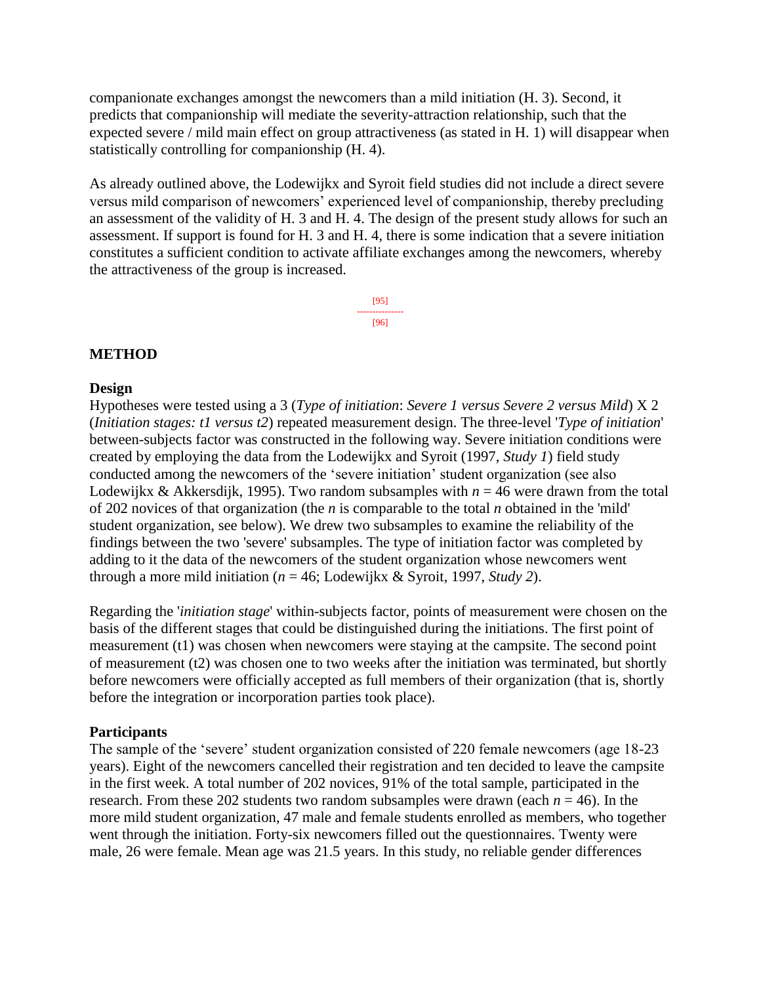companionate exchanges amongst the newcomers than a mild initiation (H. 3). Second, it predicts that companionship will mediate the severity-attraction relationship, such that the expected severe / mild main effect on group attractiveness (as stated in H. 1) will disappear when statistically controlling for companionship (H. 4).

As already outlined above, the Lodewijkx and Syroit field studies did not include a direct severe versus mild comparison of newcomers' experienced level of companionship, thereby precluding an assessment of the validity of H. 3 and H. 4. The design of the present study allows for such an assessment. If support is found for H. 3 and H. 4, there is some indication that a severe initiation constitutes a sufficient condition to activate affiliate exchanges among the newcomers, whereby the attractiveness of the group is increased.

> [95] --------------- [96]

# **METHOD**

# **Design**

Hypotheses were tested using a 3 (*Type of initiation*: *Severe 1 versus Severe 2 versus Mild*) X 2 (*Initiation stages: t1 versus t2*) repeated measurement design. The three-level '*Type of initiation*' between-subjects factor was constructed in the following way. Severe initiation conditions were created by employing the data from the Lodewijkx and Syroit (1997, *Study 1*) field study conducted among the newcomers of the 'severe initiation' student organization (see also Lodewijkx & Akkersdijk, 1995). Two random subsamples with  $n = 46$  were drawn from the total of 202 novices of that organization (the *n* is comparable to the total *n* obtained in the 'mild' student organization, see below). We drew two subsamples to examine the reliability of the findings between the two 'severe' subsamples. The type of initiation factor was completed by adding to it the data of the newcomers of the student organization whose newcomers went through a more mild initiation (*n* = 46; Lodewijkx & Syroit, 1997, *Study 2*).

Regarding the '*initiation stage*' within-subjects factor, points of measurement were chosen on the basis of the different stages that could be distinguished during the initiations. The first point of measurement (t1) was chosen when newcomers were staying at the campsite. The second point of measurement (t2) was chosen one to two weeks after the initiation was terminated, but shortly before newcomers were officially accepted as full members of their organization (that is, shortly before the integration or incorporation parties took place).

# **Participants**

The sample of the 'severe' student organization consisted of 220 female newcomers (age 18-23 years). Eight of the newcomers cancelled their registration and ten decided to leave the campsite in the first week. A total number of 202 novices, 91% of the total sample, participated in the research. From these 202 students two random subsamples were drawn (each  $n = 46$ ). In the more mild student organization, 47 male and female students enrolled as members, who together went through the initiation. Forty-six newcomers filled out the questionnaires. Twenty were male, 26 were female. Mean age was 21.5 years. In this study, no reliable gender differences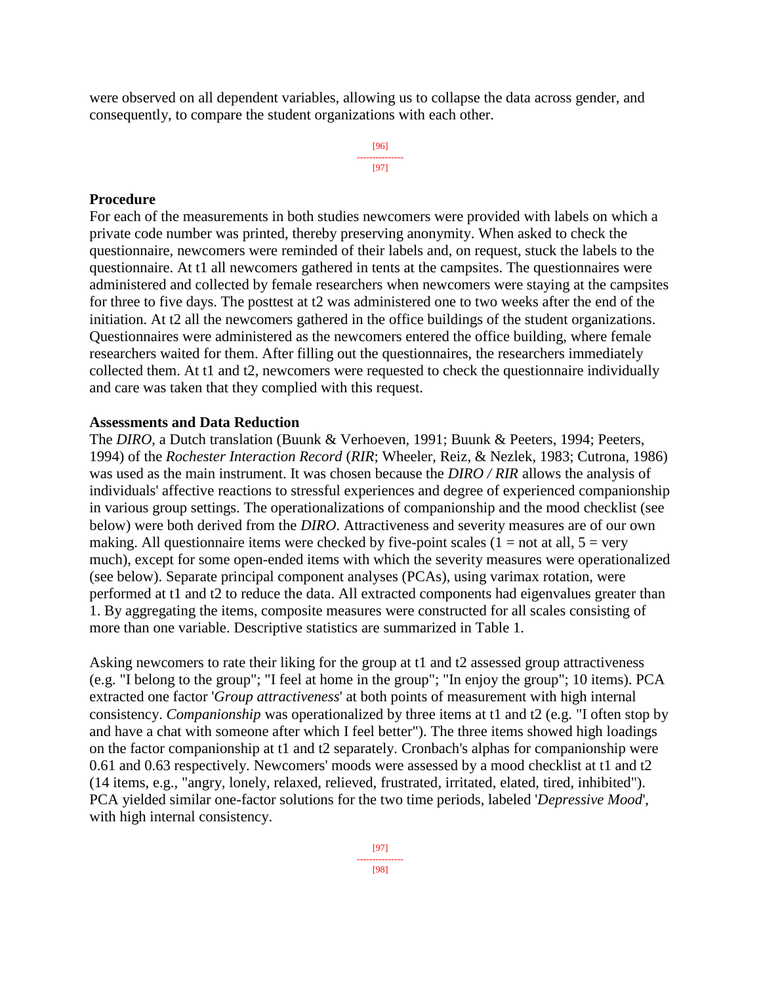were observed on all dependent variables, allowing us to collapse the data across gender, and consequently, to compare the student organizations with each other.

> [96] --------------- [97]

#### **Procedure**

For each of the measurements in both studies newcomers were provided with labels on which a private code number was printed, thereby preserving anonymity. When asked to check the questionnaire, newcomers were reminded of their labels and, on request, stuck the labels to the questionnaire. At t1 all newcomers gathered in tents at the campsites. The questionnaires were administered and collected by female researchers when newcomers were staying at the campsites for three to five days. The posttest at t2 was administered one to two weeks after the end of the initiation. At t2 all the newcomers gathered in the office buildings of the student organizations. Questionnaires were administered as the newcomers entered the office building, where female researchers waited for them. After filling out the questionnaires, the researchers immediately collected them. At t1 and t2, newcomers were requested to check the questionnaire individually and care was taken that they complied with this request.

#### **Assessments and Data Reduction**

The *DIRO*, a Dutch translation (Buunk & Verhoeven, 1991; Buunk & Peeters, 1994; Peeters, 1994) of the *Rochester Interaction Record* (*RIR*; Wheeler, Reiz, & Nezlek, 1983; Cutrona, 1986) was used as the main instrument. It was chosen because the *DIRO / RIR* allows the analysis of individuals' affective reactions to stressful experiences and degree of experienced companionship in various group settings. The operationalizations of companionship and the mood checklist (see below) were both derived from the *DIRO*. Attractiveness and severity measures are of our own making. All questionnaire items were checked by five-point scales ( $1 = not$  at all,  $5 = very$ ) much), except for some open-ended items with which the severity measures were operationalized (see below). Separate principal component analyses (PCAs), using varimax rotation, were performed at t1 and t2 to reduce the data. All extracted components had eigenvalues greater than 1. By aggregating the items, composite measures were constructed for all scales consisting of more than one variable. Descriptive statistics are summarized in Table 1.

Asking newcomers to rate their liking for the group at t1 and t2 assessed group attractiveness (e.g. "I belong to the group"; "I feel at home in the group"; "In enjoy the group"; 10 items). PCA extracted one factor '*Group attractiveness*' at both points of measurement with high internal consistency. *Companionship* was operationalized by three items at t1 and t2 (e.g. "I often stop by and have a chat with someone after which I feel better"). The three items showed high loadings on the factor companionship at t1 and t2 separately. Cronbach's alphas for companionship were 0.61 and 0.63 respectively. Newcomers' moods were assessed by a mood checklist at t1 and t2 (14 items, e.g., "angry, lonely, relaxed, relieved, frustrated, irritated, elated, tired, inhibited"). PCA yielded similar one-factor solutions for the two time periods, labeled '*Depressive Mood*', with high internal consistency.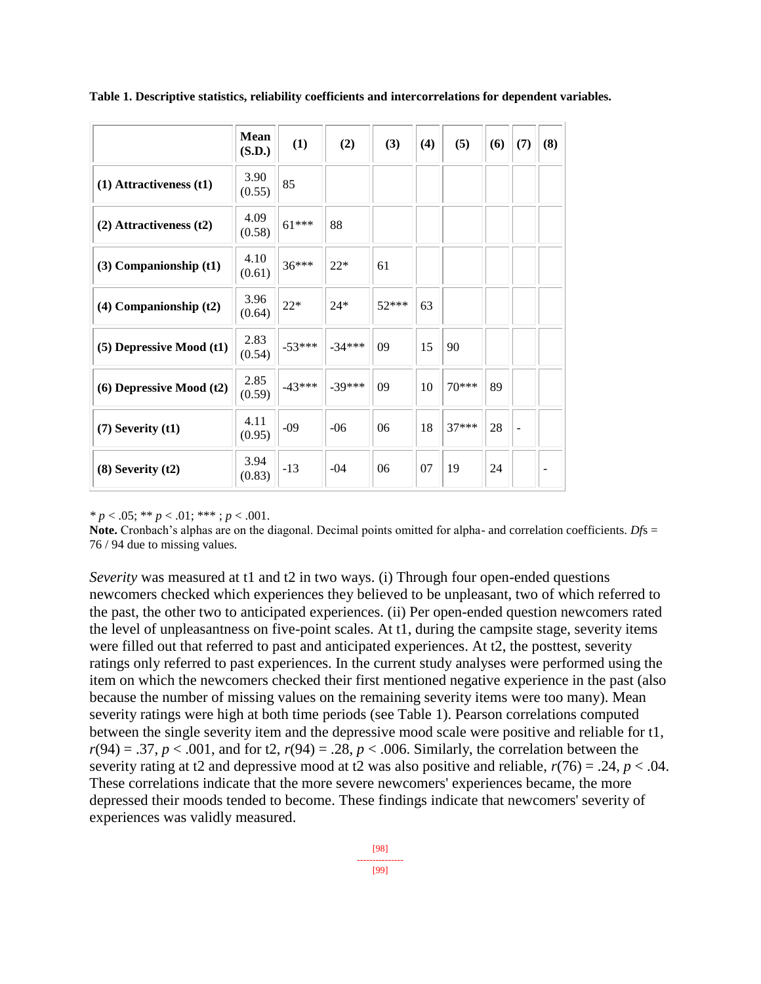|                              | <b>Mean</b><br>(S.D.) | (1)      | (2)      | (3)     | (4) | (5)     | (6) | (7)            | (8) |
|------------------------------|-----------------------|----------|----------|---------|-----|---------|-----|----------------|-----|
| $(1)$ Attractiveness $(t1)$  | 3.90<br>(0.55)        | 85       |          |         |     |         |     |                |     |
| $(2)$ Attractiveness $(t2)$  | 4.09<br>(0.58)        | $61***$  | 88       |         |     |         |     |                |     |
| $(3)$ Companionship $(t1)$   | 4.10<br>(0.61)        | $36***$  | $22*$    | 61      |     |         |     |                |     |
| $(4)$ Companionship $(t2)$   | 3.96<br>(0.64)        | $22*$    | $24*$    | $52***$ | 63  |         |     |                |     |
| (5) Depressive Mood (t1)     | 2.83<br>(0.54)        | $-53***$ | $-34***$ | 09      | 15  | 90      |     |                |     |
| $(6)$ Depressive Mood $(t2)$ | 2.85<br>(0.59)        | $-43***$ | $-39***$ | 09      | 10  | 70***   | 89  |                |     |
| $(7)$ Severity $(t1)$        | 4.11<br>(0.95)        | $-09$    | $-06$    | 06      | 18  | $37***$ | 28  | $\overline{a}$ |     |
| $(8)$ Severity $(t2)$        | 3.94<br>(0.83)        | $-13$    | $-04$    | 06      | 07  | 19      | 24  |                |     |

**Table 1. Descriptive statistics, reliability coefficients and intercorrelations for dependent variables.** 

 $\binom{*}{p}$  < .05; \*\* *p* < .01; \*\*\* ; *p* < .001.

**Note.** Cronbach's alphas are on the diagonal. Decimal points omitted for alpha- and correlation coefficients. *Dfs* = 76 / 94 due to missing values.

*Severity* was measured at t1 and t2 in two ways. (i) Through four open-ended questions newcomers checked which experiences they believed to be unpleasant, two of which referred to the past, the other two to anticipated experiences. (ii) Per open-ended question newcomers rated the level of unpleasantness on five-point scales. At t1, during the campsite stage, severity items were filled out that referred to past and anticipated experiences. At t2, the posttest, severity ratings only referred to past experiences. In the current study analyses were performed using the item on which the newcomers checked their first mentioned negative experience in the past (also because the number of missing values on the remaining severity items were too many). Mean severity ratings were high at both time periods (see Table 1). Pearson correlations computed between the single severity item and the depressive mood scale were positive and reliable for t1,  $r(94) = .37, p < .001$ , and for t2,  $r(94) = .28, p < .006$ . Similarly, the correlation between the severity rating at t2 and depressive mood at t2 was also positive and reliable,  $r(76) = .24$ ,  $p < .04$ . These correlations indicate that the more severe newcomers' experiences became, the more depressed their moods tended to become. These findings indicate that newcomers' severity of experiences was validly measured.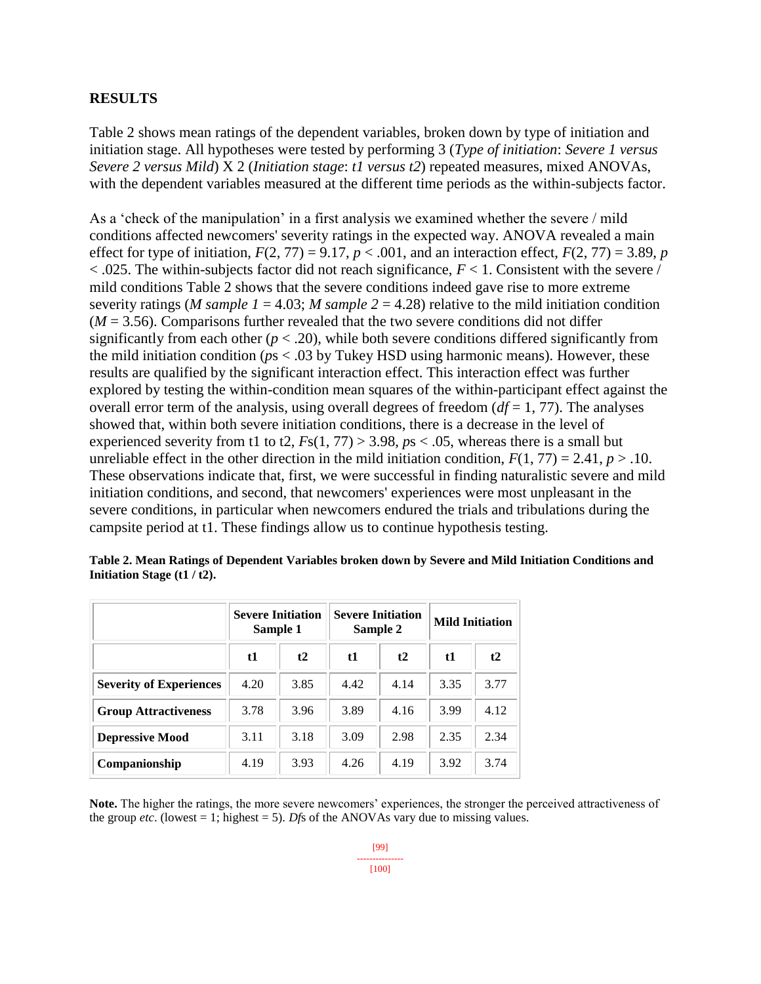## **RESULTS**

Table 2 shows mean ratings of the dependent variables, broken down by type of initiation and initiation stage. All hypotheses were tested by performing 3 (*Type of initiation*: *Severe 1 versus Severe 2 versus Mild*) X 2 (*Initiation stage*: *t1 versus t2*) repeated measures, mixed ANOVAs, with the dependent variables measured at the different time periods as the within-subjects factor.

As a 'check of the manipulation' in a first analysis we examined whether the severe / mild conditions affected newcomers' severity ratings in the expected way. ANOVA revealed a main effect for type of initiation,  $F(2, 77) = 9.17$ ,  $p < .001$ , and an interaction effect,  $F(2, 77) = 3.89$ , *p*  $<$  0.025. The within-subjects factor did not reach significance,  $F$  < 1. Consistent with the severe / mild conditions Table 2 shows that the severe conditions indeed gave rise to more extreme severity ratings (*M sample 1* = 4.03; *M sample 2* = 4.28) relative to the mild initiation condition  $(M = 3.56)$ . Comparisons further revealed that the two severe conditions did not differ significantly from each other  $(p < .20)$ , while both severe conditions differed significantly from the mild initiation condition (*p*s < .03 by Tukey HSD using harmonic means). However, these results are qualified by the significant interaction effect. This interaction effect was further explored by testing the within-condition mean squares of the within-participant effect against the overall error term of the analysis, using overall degrees of freedom  $(df = 1, 77)$ . The analyses showed that, within both severe initiation conditions, there is a decrease in the level of experienced severity from t1 to t2,  $Fs(1, 77) > 3.98$ ,  $ps < .05$ , whereas there is a small but unreliable effect in the other direction in the mild initiation condition,  $F(1, 77) = 2.41$ ,  $p > .10$ . These observations indicate that, first, we were successful in finding naturalistic severe and mild initiation conditions, and second, that newcomers' experiences were most unpleasant in the severe conditions, in particular when newcomers endured the trials and tribulations during the campsite period at t1. These findings allow us to continue hypothesis testing.

|                                | <b>Severe Initiation</b><br>Sample 1 |      | <b>Severe Initiation</b><br>Sample 2 |      | <b>Mild Initiation</b> |      |  |
|--------------------------------|--------------------------------------|------|--------------------------------------|------|------------------------|------|--|
|                                | t1                                   | t2   | t1                                   | t2   | $\mathbf{t}$           | t2   |  |
| <b>Severity of Experiences</b> | 4.20                                 | 3.85 | 4.42                                 | 4.14 | 3.35                   | 3.77 |  |
| <b>Group Attractiveness</b>    | 3.78                                 | 3.96 | 3.89                                 | 4.16 | 3.99                   | 4.12 |  |
| <b>Depressive Mood</b>         | 3.11                                 | 3.18 | 3.09                                 | 2.98 | 2.35                   | 2.34 |  |
| Companionship                  | 4.19                                 | 3.93 | 4.26                                 | 4.19 | 3.92                   | 3.74 |  |

**Table 2. Mean Ratings of Dependent Variables broken down by Severe and Mild Initiation Conditions and Initiation Stage (t1 / t2).**

**Note.** The higher the ratings, the more severe newcomers' experiences, the stronger the perceived attractiveness of the group *etc*. (lowest = 1; highest = 5). *Df*s of the ANOVAs vary due to missing values.

> [99] --------------- [100]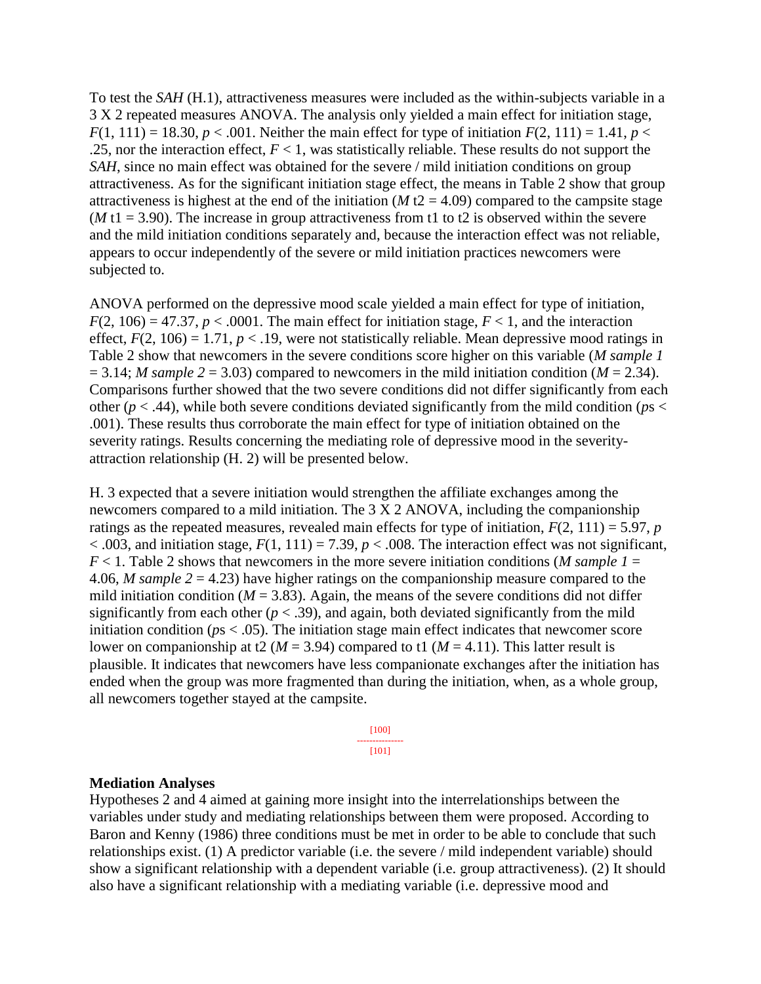To test the *SAH* (H.1), attractiveness measures were included as the within-subjects variable in a 3 X 2 repeated measures ANOVA. The analysis only yielded a main effect for initiation stage,  $F(1, 111) = 18.30, p < .001$ . Neither the main effect for type of initiation  $F(2, 111) = 1.41, p <$ .25, nor the interaction effect,  $F < 1$ , was statistically reliable. These results do not support the *SAH*, since no main effect was obtained for the severe / mild initiation conditions on group attractiveness. As for the significant initiation stage effect, the means in Table 2 show that group attractiveness is highest at the end of the initiation ( $M$  t2 = 4.09) compared to the campsite stage ( $M$  t1 = 3.90). The increase in group attractiveness from t1 to t2 is observed within the severe and the mild initiation conditions separately and, because the interaction effect was not reliable, appears to occur independently of the severe or mild initiation practices newcomers were subjected to.

ANOVA performed on the depressive mood scale yielded a main effect for type of initiation,  $F(2, 106) = 47.37$ ,  $p < .0001$ . The main effect for initiation stage,  $F < 1$ , and the interaction effect,  $F(2, 106) = 1.71$ ,  $p < .19$ , were not statistically reliable. Mean depressive mood ratings in Table 2 show that newcomers in the severe conditions score higher on this variable (*M sample 1*  $= 3.14$ ; *M sample*  $2 = 3.03$  compared to newcomers in the mild initiation condition (*M* = 2.34). Comparisons further showed that the two severe conditions did not differ significantly from each other ( $p < .44$ ), while both severe conditions deviated significantly from the mild condition ( $p_s$ .001). These results thus corroborate the main effect for type of initiation obtained on the severity ratings. Results concerning the mediating role of depressive mood in the severityattraction relationship (H. 2) will be presented below.

H. 3 expected that a severe initiation would strengthen the affiliate exchanges among the newcomers compared to a mild initiation. The 3 X 2 ANOVA, including the companionship ratings as the repeated measures, revealed main effects for type of initiation,  $F(2, 111) = 5.97$ , *p*  $< .003$ , and initiation stage,  $F(1, 111) = 7.39$ ,  $p < .008$ . The interaction effect was not significant,  $F < 1$ . Table 2 shows that new comers in the more severe initiation conditions (*M* sample  $I =$ 4.06, *M sample 2* = 4.23) have higher ratings on the companionship measure compared to the mild initiation condition ( $M = 3.83$ ). Again, the means of the severe conditions did not differ significantly from each other  $(p < .39)$ , and again, both deviated significantly from the mild initiation condition ( $p_s < .05$ ). The initiation stage main effect indicates that newcomer score lower on companionship at t2 ( $M = 3.94$ ) compared to t1 ( $M = 4.11$ ). This latter result is plausible. It indicates that newcomers have less companionate exchanges after the initiation has ended when the group was more fragmented than during the initiation, when, as a whole group, all newcomers together stayed at the campsite.

> [100] --------------- [101]

#### **Mediation Analyses**

Hypotheses 2 and 4 aimed at gaining more insight into the interrelationships between the variables under study and mediating relationships between them were proposed. According to Baron and Kenny (1986) three conditions must be met in order to be able to conclude that such relationships exist. (1) A predictor variable (i.e. the severe / mild independent variable) should show a significant relationship with a dependent variable (i.e. group attractiveness). (2) It should also have a significant relationship with a mediating variable (i.e. depressive mood and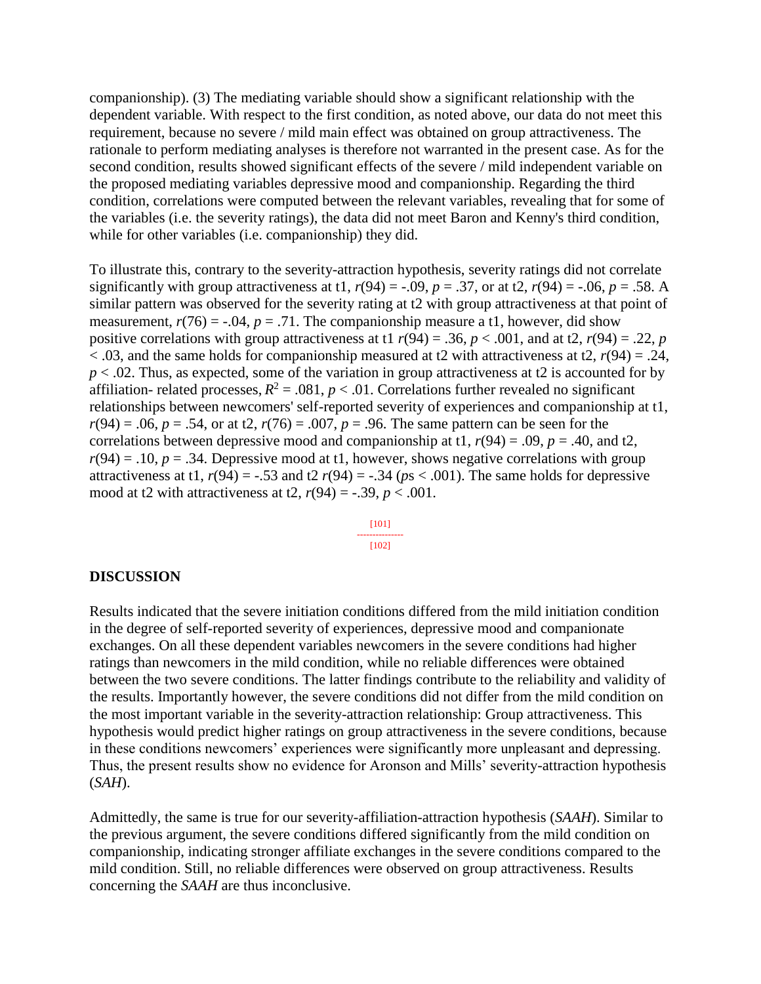companionship). (3) The mediating variable should show a significant relationship with the dependent variable. With respect to the first condition, as noted above, our data do not meet this requirement, because no severe / mild main effect was obtained on group attractiveness. The rationale to perform mediating analyses is therefore not warranted in the present case. As for the second condition, results showed significant effects of the severe / mild independent variable on the proposed mediating variables depressive mood and companionship. Regarding the third condition, correlations were computed between the relevant variables, revealing that for some of the variables (i.e. the severity ratings), the data did not meet Baron and Kenny's third condition, while for other variables (i.e. companionship) they did.

To illustrate this, contrary to the severity-attraction hypothesis, severity ratings did not correlate significantly with group attractiveness at t1,  $r(94) = -.09$ ,  $p = .37$ , or at t2,  $r(94) = -.06$ ,  $p = .58$ . A similar pattern was observed for the severity rating at t2 with group attractiveness at that point of measurement,  $r(76) = -0.04$ ,  $p = .71$ . The companionship measure a t1, however, did show positive correlations with group attractiveness at t1  $r(94) = .36$ ,  $p < .001$ , and at t2,  $r(94) = .22$ , *p*  $<$  0.03, and the same holds for companionship measured at t2 with attractiveness at t2,  $r(94) = 0.24$ ,  $p < 0.02$ . Thus, as expected, some of the variation in group attractiveness at t2 is accounted for by affiliation- related processes,  $R^2 = .081$ ,  $p < .01$ . Correlations further revealed no significant relationships between newcomers' self-reported severity of experiences and companionship at t1,  $r(94) = .06$ ,  $p = .54$ , or at t2,  $r(76) = .007$ ,  $p = .96$ . The same pattern can be seen for the correlations between depressive mood and companionship at t1,  $r(94) = .09$ ,  $p = .40$ , and t2,  $r(94) = .10$ ,  $p = .34$ . Depressive mood at t1, however, shows negative correlations with group attractiveness at t1,  $r(94) = -0.53$  and t2  $r(94) = -0.34$  ( $ps < 0.001$ ). The same holds for depressive mood at t2 with attractiveness at t2,  $r(94) = -.39$ ,  $p < .001$ .

> [101] --------------- [102]

#### **DISCUSSION**

Results indicated that the severe initiation conditions differed from the mild initiation condition in the degree of self-reported severity of experiences, depressive mood and companionate exchanges. On all these dependent variables newcomers in the severe conditions had higher ratings than newcomers in the mild condition, while no reliable differences were obtained between the two severe conditions. The latter findings contribute to the reliability and validity of the results. Importantly however, the severe conditions did not differ from the mild condition on the most important variable in the severity-attraction relationship: Group attractiveness. This hypothesis would predict higher ratings on group attractiveness in the severe conditions, because in these conditions newcomers' experiences were significantly more unpleasant and depressing. Thus, the present results show no evidence for Aronson and Mills' severity-attraction hypothesis (*SAH*).

Admittedly, the same is true for our severity-affiliation-attraction hypothesis (*SAAH*). Similar to the previous argument, the severe conditions differed significantly from the mild condition on companionship, indicating stronger affiliate exchanges in the severe conditions compared to the mild condition. Still, no reliable differences were observed on group attractiveness. Results concerning the *SAAH* are thus inconclusive.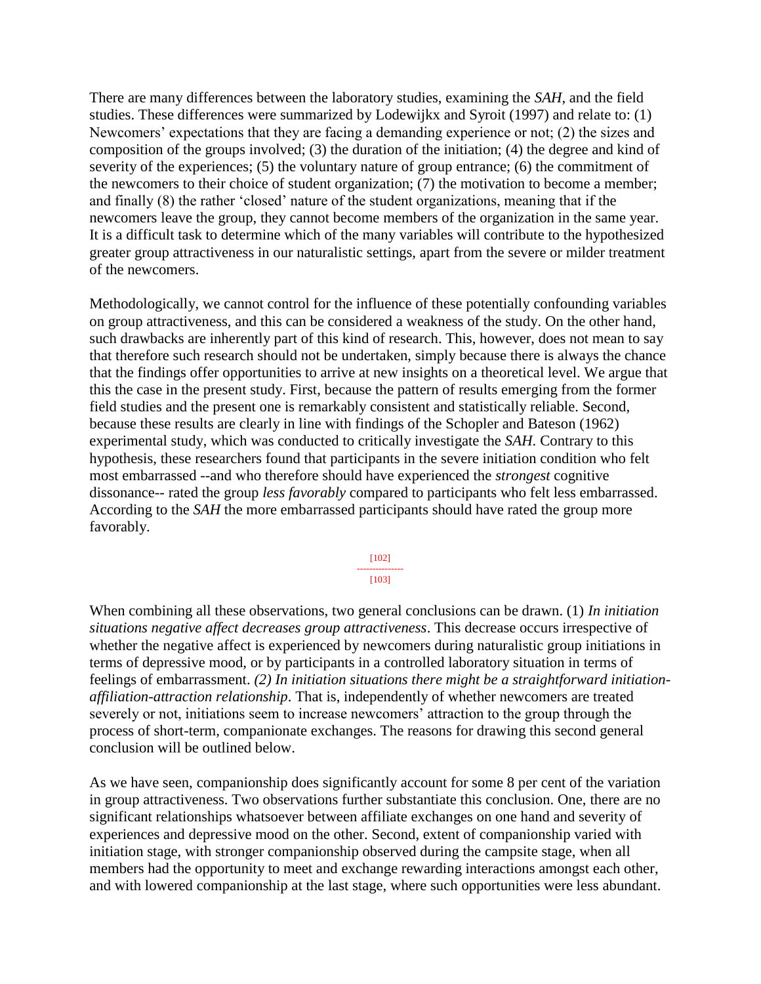There are many differences between the laboratory studies, examining the *SAH*, and the field studies. These differences were summarized by Lodewijkx and Syroit (1997) and relate to: (1) Newcomers' expectations that they are facing a demanding experience or not; (2) the sizes and composition of the groups involved; (3) the duration of the initiation; (4) the degree and kind of severity of the experiences; (5) the voluntary nature of group entrance; (6) the commitment of the newcomers to their choice of student organization; (7) the motivation to become a member; and finally (8) the rather 'closed' nature of the student organizations, meaning that if the newcomers leave the group, they cannot become members of the organization in the same year. It is a difficult task to determine which of the many variables will contribute to the hypothesized greater group attractiveness in our naturalistic settings, apart from the severe or milder treatment of the newcomers.

Methodologically, we cannot control for the influence of these potentially confounding variables on group attractiveness, and this can be considered a weakness of the study. On the other hand, such drawbacks are inherently part of this kind of research. This, however, does not mean to say that therefore such research should not be undertaken, simply because there is always the chance that the findings offer opportunities to arrive at new insights on a theoretical level. We argue that this the case in the present study. First, because the pattern of results emerging from the former field studies and the present one is remarkably consistent and statistically reliable. Second, because these results are clearly in line with findings of the Schopler and Bateson (1962) experimental study, which was conducted to critically investigate the *SAH*. Contrary to this hypothesis, these researchers found that participants in the severe initiation condition who felt most embarrassed --and who therefore should have experienced the *strongest* cognitive dissonance-- rated the group *less favorably* compared to participants who felt less embarrassed. According to the *SAH* the more embarrassed participants should have rated the group more favorably.

> [102] --------------- [103]

When combining all these observations, two general conclusions can be drawn. (1) *In initiation situations negative affect decreases group attractiveness*. This decrease occurs irrespective of whether the negative affect is experienced by newcomers during naturalistic group initiations in terms of depressive mood, or by participants in a controlled laboratory situation in terms of feelings of embarrassment. *(2) In initiation situations there might be a straightforward initiationaffiliation-attraction relationship*. That is, independently of whether newcomers are treated severely or not, initiations seem to increase newcomers' attraction to the group through the process of short-term, companionate exchanges. The reasons for drawing this second general conclusion will be outlined below.

As we have seen, companionship does significantly account for some 8 per cent of the variation in group attractiveness. Two observations further substantiate this conclusion. One, there are no significant relationships whatsoever between affiliate exchanges on one hand and severity of experiences and depressive mood on the other. Second, extent of companionship varied with initiation stage, with stronger companionship observed during the campsite stage, when all members had the opportunity to meet and exchange rewarding interactions amongst each other, and with lowered companionship at the last stage, where such opportunities were less abundant.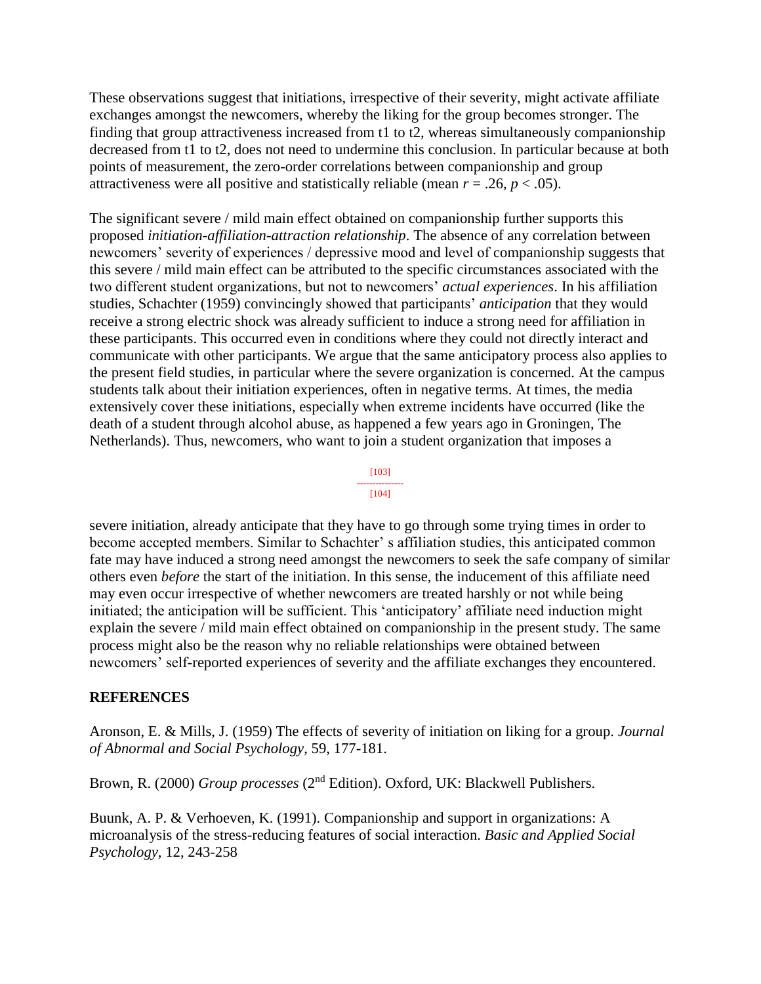These observations suggest that initiations, irrespective of their severity, might activate affiliate exchanges amongst the newcomers, whereby the liking for the group becomes stronger. The finding that group attractiveness increased from t1 to t2, whereas simultaneously companionship decreased from t1 to t2, does not need to undermine this conclusion. In particular because at both points of measurement, the zero-order correlations between companionship and group attractiveness were all positive and statistically reliable (mean  $r = .26$ ,  $p < .05$ ).

The significant severe / mild main effect obtained on companionship further supports this proposed *initiation-affiliation-attraction relationship*. The absence of any correlation between newcomers' severity of experiences / depressive mood and level of companionship suggests that this severe / mild main effect can be attributed to the specific circumstances associated with the two different student organizations, but not to newcomers' *actual experiences*. In his affiliation studies, Schachter (1959) convincingly showed that participants' *anticipation* that they would receive a strong electric shock was already sufficient to induce a strong need for affiliation in these participants. This occurred even in conditions where they could not directly interact and communicate with other participants. We argue that the same anticipatory process also applies to the present field studies, in particular where the severe organization is concerned. At the campus students talk about their initiation experiences, often in negative terms. At times, the media extensively cover these initiations, especially when extreme incidents have occurred (like the death of a student through alcohol abuse, as happened a few years ago in Groningen, The Netherlands). Thus, newcomers, who want to join a student organization that imposes a

#### [103] --------------- [104]

severe initiation, already anticipate that they have to go through some trying times in order to become accepted members. Similar to Schachter' s affiliation studies, this anticipated common fate may have induced a strong need amongst the newcomers to seek the safe company of similar others even *before* the start of the initiation. In this sense, the inducement of this affiliate need may even occur irrespective of whether newcomers are treated harshly or not while being initiated; the anticipation will be sufficient. This 'anticipatory' affiliate need induction might explain the severe / mild main effect obtained on companionship in the present study. The same process might also be the reason why no reliable relationships were obtained between newcomers' self-reported experiences of severity and the affiliate exchanges they encountered.

# **REFERENCES**

Aronson, E. & Mills, J. (1959) The effects of severity of initiation on liking for a group. *Journal of Abnormal and Social Psychology*, 59, 177-181.

Brown, R. (2000) *Group processes* (2nd Edition). Oxford, UK: Blackwell Publishers.

Buunk, A. P. & Verhoeven, K. (1991). Companionship and support in organizations: A microanalysis of the stress-reducing features of social interaction. *Basic and Applied Social Psychology*, 12, 243-258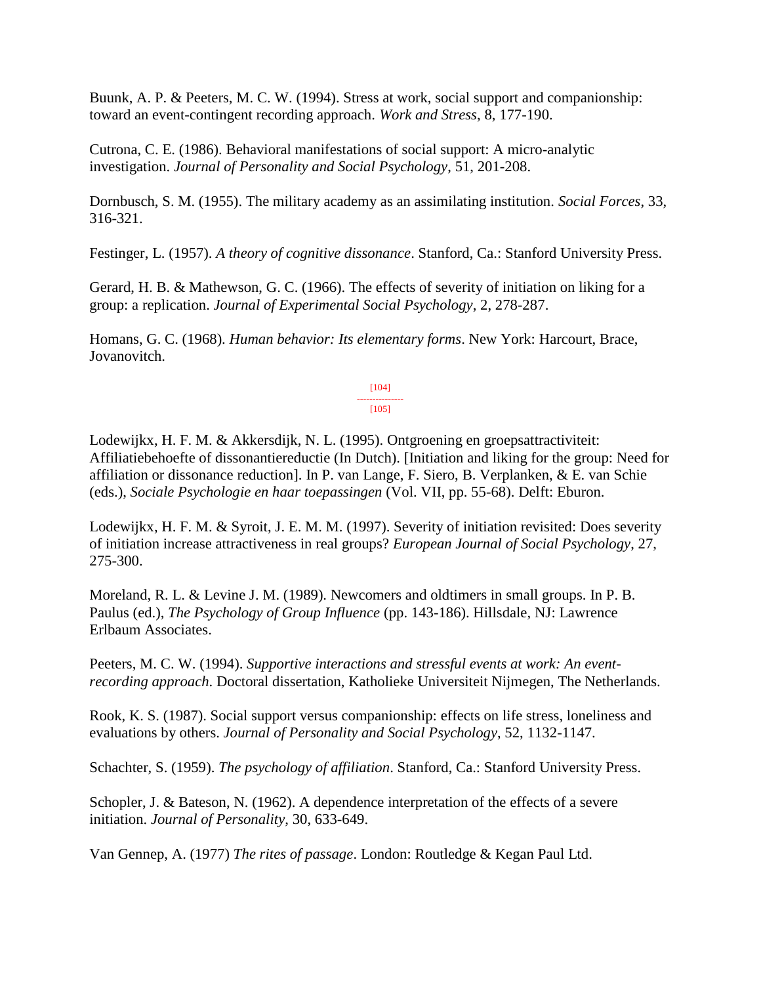Buunk, A. P. & Peeters, M. C. W. (1994). Stress at work, social support and companionship: toward an event-contingent recording approach. *Work and Stress*, 8, 177-190.

Cutrona, C. E. (1986). Behavioral manifestations of social support: A micro-analytic investigation. *Journal of Personality and Social Psychology*, 51, 201-208.

Dornbusch, S. M. (1955). The military academy as an assimilating institution. *Social Forces*, 33, 316-321.

Festinger, L. (1957). *A theory of cognitive dissonance*. Stanford, Ca.: Stanford University Press.

Gerard, H. B. & Mathewson, G. C. (1966). The effects of severity of initiation on liking for a group: a replication. *Journal of Experimental Social Psychology*, 2, 278-287.

Homans, G. C. (1968). *Human behavior: Its elementary forms*. New York: Harcourt, Brace, Jovanovitch.

> [104] --------------- [105]

Lodewijkx, H. F. M. & Akkersdijk, N. L. (1995). Ontgroening en groepsattractiviteit: Affiliatiebehoefte of dissonantiereductie (In Dutch). [Initiation and liking for the group: Need for affiliation or dissonance reduction]. In P. van Lange, F. Siero, B. Verplanken, & E. van Schie (eds.), *Sociale Psychologie en haar toepassingen* (Vol. VII, pp. 55-68). Delft: Eburon.

Lodewijkx, H. F. M. & Syroit, J. E. M. M. (1997). Severity of initiation revisited: Does severity of initiation increase attractiveness in real groups? *European Journal of Social Psychology*, 27, 275-300.

Moreland, R. L. & Levine J. M. (1989). Newcomers and oldtimers in small groups. In P. B. Paulus (ed.), *The Psychology of Group Influence* (pp. 143-186). Hillsdale, NJ: Lawrence Erlbaum Associates.

Peeters, M. C. W. (1994). *Supportive interactions and stressful events at work: An eventrecording approach*. Doctoral dissertation, Katholieke Universiteit Nijmegen, The Netherlands.

Rook, K. S. (1987). Social support versus companionship: effects on life stress, loneliness and evaluations by others. *Journal of Personality and Social Psychology*, 52, 1132-1147.

Schachter, S. (1959). *The psychology of affiliation*. Stanford, Ca.: Stanford University Press.

Schopler, J. & Bateson, N. (1962). A dependence interpretation of the effects of a severe initiation. *Journal of Personality*, 30, 633-649.

Van Gennep, A. (1977) *The rites of passage*. London: Routledge & Kegan Paul Ltd.